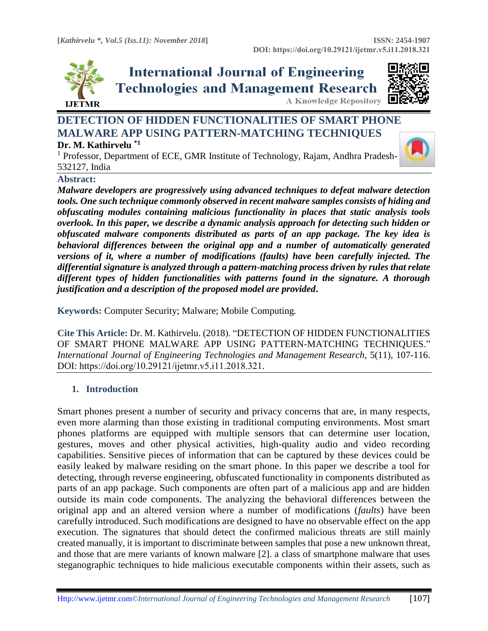

**International Journal of Engineering Technologies and Management Research A Knowledge Repository** 



# **DETECTION OF HIDDEN FUNCTIONALITIES OF SMART PHONE MALWARE APP USING PATTERN-MATCHING TECHNIQUES Dr. M. Kathirvelu \*1**

<sup>1</sup> Professor, Department of ECE, GMR Institute of Technology, Rajam, Andhra Pradesh-532127, India

## **Abstract:**

*Malware developers are progressively using advanced techniques to defeat malware detection tools. One such technique commonly observed in recent malware samples consists of hiding and obfuscating modules containing malicious functionality in places that static analysis tools overlook. In this paper, we describe a dynamic analysis approach for detecting such hidden or obfuscated malware components distributed as parts of an app package. The key idea is behavioral differences between the original app and a number of automatically generated versions of it, where a number of modifications (faults) have been carefully injected. The differential signature is analyzed through a pattern-matching process driven by rules that relate different types of hidden functionalities with patterns found in the signature. A thorough justification and a description of the proposed model are provided***.**

**Keywords:** Computer Security; Malware; Mobile Computing*.* 

**Cite This Article:** Dr. M. Kathirvelu. (2018). "DETECTION OF HIDDEN FUNCTIONALITIES OF SMART PHONE MALWARE APP USING PATTERN-MATCHING TECHNIQUES." *International Journal of Engineering Technologies and Management Research, 5(11), 107-116.* DOI: https://doi.org/10.29121/ijetmr.v5.i11.2018.321.

# **1. Introduction**

Smart phones present a number of security and privacy concerns that are, in many respects, even more alarming than those existing in traditional computing environments. Most smart phones platforms are equipped with multiple sensors that can determine user location, gestures, moves and other physical activities, high-quality audio and video recording capabilities. Sensitive pieces of information that can be captured by these devices could be easily leaked by malware residing on the smart phone. In this paper we describe a tool for detecting, through reverse engineering, obfuscated functionality in components distributed as parts of an app package. Such components are often part of a malicious app and are hidden outside its main code components. The analyzing the behavioral differences between the original app and an altered version where a number of modifications (*faults*) have been carefully introduced. Such modifications are designed to have no observable effect on the app execution. The signatures that should detect the confirmed malicious threats are still mainly created manually, it is important to discriminate between samples that pose a new unknown threat, and those that are mere variants of known malware [2]. a class of smartphone malware that uses steganographic techniques to hide malicious executable components within their assets, such as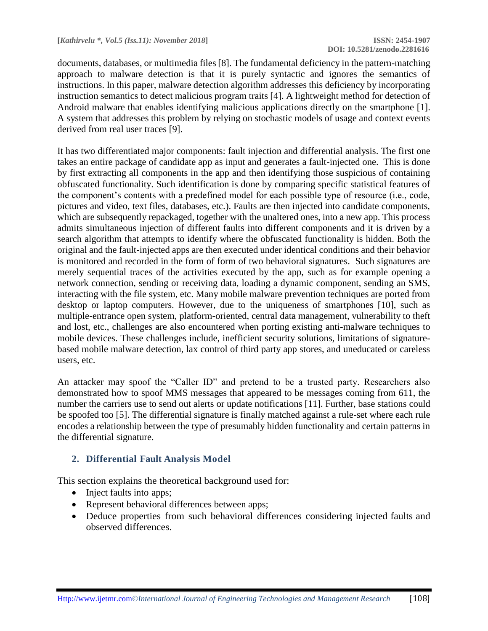documents, databases, or multimedia files [8]. The fundamental deficiency in the pattern-matching approach to malware detection is that it is purely syntactic and ignores the semantics of instructions. In this paper, malware detection algorithm addresses this deficiency by incorporating instruction semantics to detect malicious program traits [4]. A lightweight method for detection of Android malware that enables identifying malicious applications directly on the smartphone [1]. A system that addresses this problem by relying on stochastic models of usage and context events derived from real user traces [9].

It has two differentiated major components: fault injection and differential analysis. The first one takes an entire package of candidate app as input and generates a fault-injected one. This is done by first extracting all components in the app and then identifying those suspicious of containing obfuscated functionality. Such identification is done by comparing specific statistical features of the component's contents with a predefined model for each possible type of resource (i.e., code, pictures and video, text files, databases, etc.). Faults are then injected into candidate components, which are subsequently repackaged, together with the unaltered ones, into a new app. This process admits simultaneous injection of different faults into different components and it is driven by a search algorithm that attempts to identify where the obfuscated functionality is hidden. Both the original and the fault-injected apps are then executed under identical conditions and their behavior is monitored and recorded in the form of form of two behavioral signatures. Such signatures are merely sequential traces of the activities executed by the app, such as for example opening a network connection, sending or receiving data, loading a dynamic component, sending an SMS, interacting with the file system, etc. Many mobile malware prevention techniques are ported from desktop or laptop computers. However, due to the uniqueness of smartphones [10], such as multiple-entrance open system, platform-oriented, central data management, vulnerability to theft and lost, etc., challenges are also encountered when porting existing anti-malware techniques to mobile devices. These challenges include, inefficient security solutions, limitations of signaturebased mobile malware detection, lax control of third party app stores, and uneducated or careless users, etc.

An attacker may spoof the "Caller ID" and pretend to be a trusted party. Researchers also demonstrated how to spoof MMS messages that appeared to be messages coming from 611, the number the carriers use to send out alerts or update notifications [11]. Further, base stations could be spoofed too [5]. The differential signature is finally matched against a rule-set where each rule encodes a relationship between the type of presumably hidden functionality and certain patterns in the differential signature.

### **2. Differential Fault Analysis Model**

This section explains the theoretical background used for:

- Inject faults into apps;
- Represent behavioral differences between apps;
- Deduce properties from such behavioral differences considering injected faults and observed differences.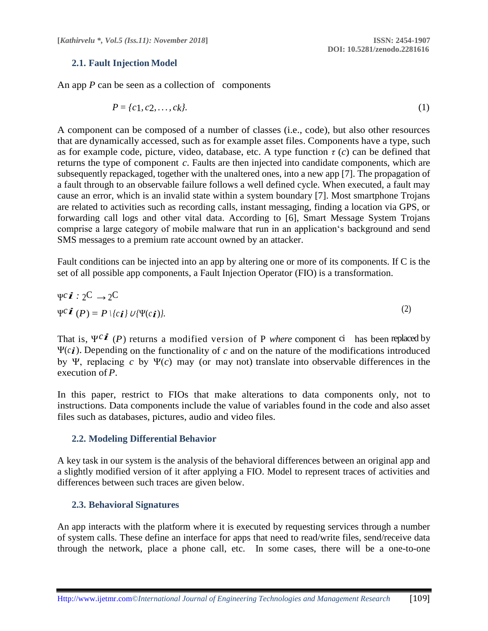### **2.1. Fault Injection Model**

An app *P* can be seen as a collection of components

$$
P = \{c_1, c_2, \dots, c_k\}.\tag{1}
$$

A component can be composed of a number of classes (i.e., code), but also other resources that are dynamically accessed, such as for example asset files. Components have a type, such as for example code, picture, video, database, etc. A type function  $\tau$  (*c*) can be defined that returns the type of component *c*. Faults are then injected into candidate components, which are subsequently repackaged, together with the unaltered ones, into a new app [7]. The propagation of a fault through to an observable failure follows a well defined cycle. When executed, a fault may cause an error, which is an invalid state within a system boundary [7]. Most smartphone Trojans are related to activities such as recording calls, instant messaging, finding a location via GPS, or forwarding call logs and other vital data. According to [6], Smart Message System Trojans comprise a large category of mobile malware that run in an application's background and send SMS messages to a premium rate account owned by an attacker.

Fault conditions can be injected into an app by altering one or more of its components. If C is the set of all possible app components, a Fault Injection Operator (FIO) is a transformation.

$$
\Psi^c \vec{\boldsymbol{i}} : 2^C \to 2^C
$$
  
\n
$$
\Psi^c \vec{\boldsymbol{i}} (P) = P \setminus \{c \vec{\boldsymbol{i}}\} U \setminus \Psi(c \vec{\boldsymbol{i}}).
$$
\n(2)

That is, <sup>Ψ</sup>*ci* (*P*) returns a modified version of P *where* component ci has been replaced by Ψ(*ci*). Depending on the functionality of *c* and on the nature of the modifications introduced by Ψ, replacing *c* by Ψ(*c*) may (or may not) translate into observable differences in the execution of *P*.

In this paper, restrict to FIOs that make alterations to data components only, not to instructions. Data components include the value of variables found in the code and also asset files such as databases, pictures, audio and video files.

### **2.2. Modeling Differential Behavior**

A key task in our system is the analysis of the behavioral differences between an original app and a slightly modified version of it after applying a FIO. Model to represent traces of activities and differences between such traces are given below.

### **2.3. Behavioral Signatures**

An app interacts with the platform where it is executed by requesting services through a number of system calls. These define an interface for apps that need to read/write files, send/receive data through the network, place a phone call, etc. In some cases, there will be a one-to-one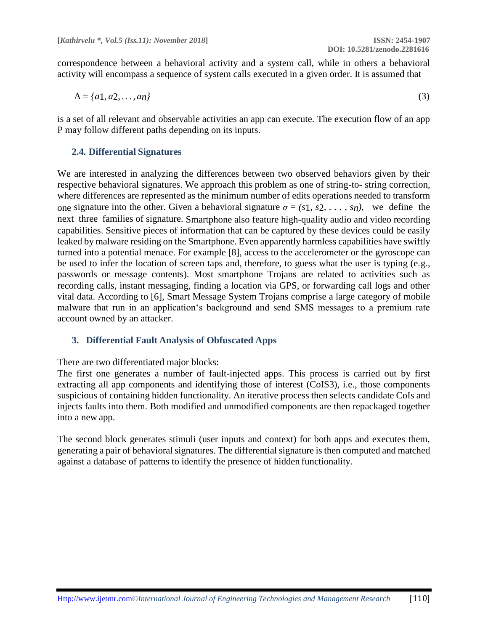correspondence between a behavioral activity and a system call, while in others a behavioral activity will encompass a sequence of system calls executed in a given order. It is assumed that

$$
A = \{a1, a2, ..., an\}
$$
 (3)

is a set of all relevant and observable activities an app can execute. The execution flow of an app P may follow different paths depending on its inputs.

### **2.4. Differential Signatures**

We are interested in analyzing the differences between two observed behaviors given by their respective behavioral signatures. We approach this problem as one of string-to- string correction, where differences are represented as the minimum number of edits operations needed to transform one signature into the other. Given a behavioral signature  $\sigma = (s_1, s_2, \ldots, s_n)$ , we define the next three families of signature. Smartphone also feature high-quality audio and video recording capabilities. Sensitive pieces of information that can be captured by these devices could be easily leaked by malware residing on the Smartphone. Even apparently harmless capabilities have swiftly turned into a potential menace. For example [8], access to the accelerometer or the gyroscope can be used to infer the location of screen taps and, therefore, to guess what the user is typing (e.g., passwords or message contents). Most smartphone Trojans are related to activities such as recording calls, instant messaging, finding a location via GPS, or forwarding call logs and other vital data. According to [6], Smart Message System Trojans comprise a large category of mobile malware that run in an application's background and send SMS messages to a premium rate account owned by an attacker.

### **3. Differential Fault Analysis of Obfuscated Apps**

There are two differentiated major blocks:

The first one generates a number of fault-injected apps. This process is carried out by first extracting all app components and identifying those of interest (CoIS3), i.e., those components suspicious of containing hidden functionality. An iterative process then selects candidate CoIs and injects faults into them. Both modified and unmodified components are then repackaged together into a new app.

The second block generates stimuli (user inputs and context) for both apps and executes them, generating a pair of behavioral signatures. The differential signature is then computed and matched against a database of patterns to identify the presence of hidden functionality.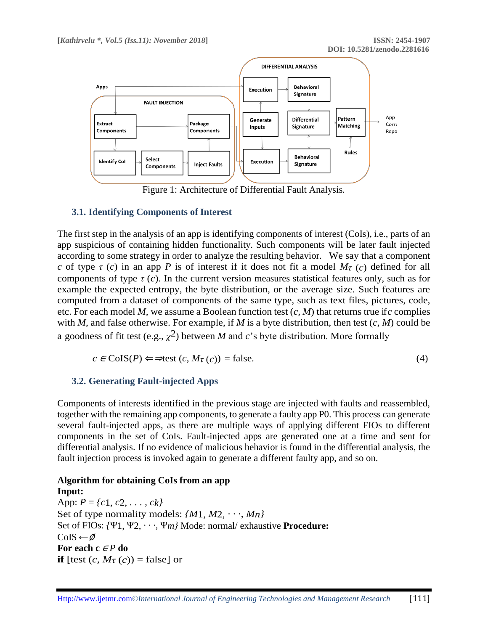

Figure 1: Architecture of Differential Fault Analysis*.*

### **3.1. Identifying Components of Interest**

The first step in the analysis of an app is identifying components of interest (CoIs), i.e., parts of an app suspicious of containing hidden functionality. Such components will be later fault injected according to some strategy in order to analyze the resulting behavior. We say that a component *c* of type  $\tau$  (*c*) in an app *P* is of interest if it does not fit a model  $M_{\tau}$  (*c*) defined for all components of type  $\tau(c)$ . In the current version measures statistical features only, such as for example the expected entropy, the byte distribution, or the average size. Such features are computed from a dataset of components of the same type, such as text files, pictures, code, etc. For each model *M*, we assume a Boolean function test (*c, M*) that returns true if *c* complies with *M*, and false otherwise. For example, if *M* is a byte distribution, then test (*c, M*) could be a goodness of fit test (e.g.,  $\chi^2$ ) between *M* and *c*'s byte distribution. More formally

$$
c \in \text{CoIS}(P) \Longleftrightarrow \text{test}(c, M_{\tau}(c)) = \text{false.} \tag{4}
$$

### **3.2. Generating Fault-injected Apps**

Components of interests identified in the previous stage are injected with faults and reassembled, together with the remaining app components, to generate a faulty app P0. This process can generate several fault-injected apps, as there are multiple ways of applying different FIOs to different components in the set of CoIs. Fault-injected apps are generated one at a time and sent for differential analysis. If no evidence of malicious behavior is found in the differential analysis, the fault injection process is invoked again to generate a different faulty app, and so on.

#### **Algorithm for obtaining CoIs from an app Input:**

App: *P* = *{c*1, *c*2, *. . . , ck}* Set of type normality models: *{M*1, *M*2, *· · ·, Mn}* Set of FIOs: *{*Ψ1, Ψ2, *· · ·,* Ψ*m}* Mode: normal/ exhaustive **Procedure:** CoIS *←*∅ **For each c** <sup>∈</sup> *P* **do if** [test  $(c, M_{\tau}(c))$  = false] or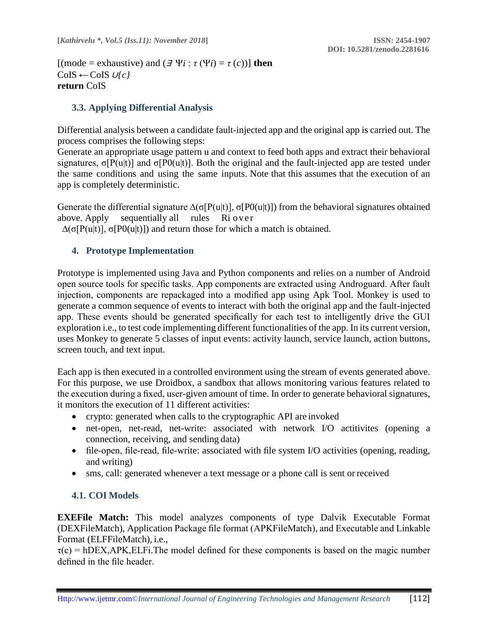$[(\text{mode} = \text{exhaustive}) \text{ and } (\exists \Psi i : \tau (\Psi i) = \tau (c))]$  then CoIS *←*CoIS <sup>∪</sup>*{c}* **return** CoIS

# **3.3. Applying Differential Analysis**

Differential analysis between a candidate fault-injected app and the original app is carried out. The process comprises the following steps:

Generate an appropriate usage pattern u and context to feed both apps and extract their behavioral signatures,  $\sigma[P(u|t)]$  and  $\sigma[P0(u|t)]$ . Both the original and the fault-injected app are tested under the same conditions and using the same inputs. Note that this assumes that the execution of an app is completely deterministic.

Generate the differential signature  $\Delta(\sigma[P(u|t)], \sigma[P(u|t)])$  from the behavioral signatures obtained above. Apply sequentially all rules Ri over

 $Δ(σ[P(u|t)], σ[P0(u|t)])$  and return those for which a match is obtained.

## **4. Prototype Implementation**

Prototype is implemented using Java and Python components and relies on a number of Android open source tools for specific tasks. App components are extracted using Androguard. After fault injection, components are repackaged into a modified app using Apk Tool. Monkey is used to generate a common sequence of events to interact with both the original app and the fault-injected app. These events should be generated specifically for each test to intelligently drive the GUI exploration i.e., to test code implementing different functionalities of the app. In its current version, uses Monkey to generate 5 classes of input events: activity launch, service launch, action buttons, screen touch, and text input.

Each app is then executed in a controlled environment using the stream of events generated above. For this purpose, we use Droidbox, a sandbox that allows monitoring various features related to the execution during a fixed, user-given amount of time. In order to generate behavioral signatures, it monitors the execution of 11 different activities:

- crypto: generated when calls to the cryptographic API are invoked
- net-open, net-read, net-write: associated with network I/O actitivites (opening a connection, receiving, and sending data)
- file-open, file-read, file-write: associated with file system I/O activities (opening, reading, and writing)
- sms, call: generated whenever a text message or a phone call is sent orreceived

# **4.1. COI Models**

**EXEFile Match:** This model analyzes components of type Dalvik Executable Format (DEXFileMatch), Application Package file format (APKFileMatch), and Executable and Linkable Format (ELFFileMatch), i.e.,

 $\tau(c)$  = hDEX, APK, ELFi. The model defined for these components is based on the magic number defined in the file header.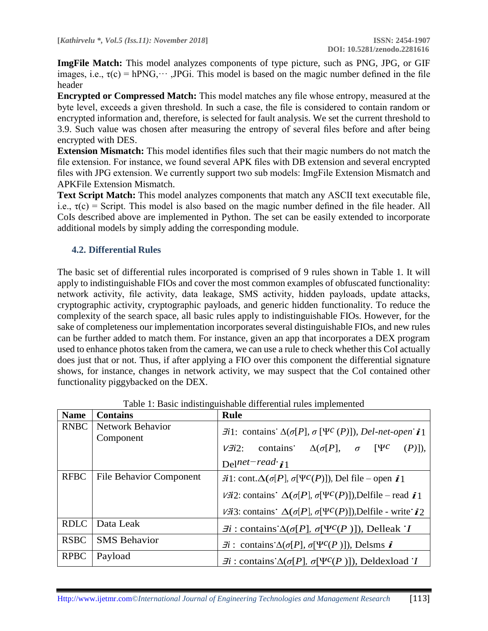**ImgFile Match:** This model analyzes components of type picture, such as PNG, JPG, or GIF images, i.e.,  $\tau(c) = hPNG, \dots$  JPGi. This model is based on the magic number defined in the file header

**Encrypted or Compressed Match:** This model matches any file whose entropy, measured at the byte level, exceeds a given threshold. In such a case, the file is considered to contain random or encrypted information and, therefore, is selected for fault analysis. We set the current threshold to 3.9. Such value was chosen after measuring the entropy of several files before and after being encrypted with DES.

**Extension Mismatch:** This model identifies files such that their magic numbers do not match the file extension. For instance, we found several APK files with DB extension and several encrypted files with JPG extension. We currently support two sub models: ImgFile Extension Mismatch and APKFile Extension Mismatch.

**Text Script Match:** This model analyzes components that match any ASCII text executable file, i.e.,  $\tau(c)$  = Script. This model is also based on the magic number defined in the file header. All CoIs described above are implemented in Python. The set can be easily extended to incorporate additional models by simply adding the corresponding module.

### **4.2. Differential Rules**

The basic set of differential rules incorporated is comprised of 9 rules shown in Table 1. It will apply to indistinguishable FIOs and cover the most common examples of obfuscated functionality: network activity, file activity, data leakage, SMS activity, hidden payloads, update attacks, cryptographic activity, cryptographic payloads, and generic hidden functionality. To reduce the complexity of the search space, all basic rules apply to indistinguishable FIOs. However, for the sake of completeness our implementation incorporates several distinguishable FIOs, and new rules can be further added to match them. For instance, given an app that incorporates a DEX program used to enhance photos taken from the camera, we can use a rule to check whether this CoI actually does just that or not. Thus, if after applying a FIO over this component the differential signature shows, for instance, changes in network activity, we may suspect that the CoI contained other functionality piggybacked on the DEX.

| <b>Name</b> | <b>Contains</b>                      | <b>Rule</b>                                                                                                                                                                                                                                                                                          |  |  |
|-------------|--------------------------------------|------------------------------------------------------------------------------------------------------------------------------------------------------------------------------------------------------------------------------------------------------------------------------------------------------|--|--|
| <b>RNBC</b> | <b>Network Behavior</b><br>Component | $\exists i$ 1: contains $\Delta(\sigma[P], \sigma[\Psi^c(P)])$ , Del-net-open $\vec{\imath}$ 1<br>contains $\Delta(\sigma[P])$ , $\sigma$ [YC]<br>$(P)$ ]),<br>$V \overline{\vec{u}} 2$ :<br>Delnet-read $i_1$                                                                                       |  |  |
| <b>RFBC</b> | <b>File Behavior Component</b>       | $\vec{\pi}$ 1: cont. $\Delta(\sigma[P], \sigma[\Psi^c(P)])$ , Del file – open $\vec{\tau}$ 1<br><i>V</i> $\vec{u}$ 2: contains $\Delta(\sigma[P], \sigma[\Psi^c(P)])$ , Delfile – read $\vec{\iota}$ 1<br>$V\vec{i}3$ : contains $\Delta(\sigma[P], \sigma[\Psi^c(P)])$ , Delfile - write $\vec{i}2$ |  |  |
| <b>RDLC</b> | Data Leak                            | $\exists i :$ contains $\Delta(\sigma[P], \sigma[\Psi^c(P)])$ , Delleak T                                                                                                                                                                                                                            |  |  |
| <b>RSBC</b> | <b>SMS</b> Behavior                  | $\vec{\pi}$ : contains $\Delta(\sigma[P], \sigma[\Psi^c(P)])$ , Delsms $\vec{\iota}$                                                                                                                                                                                                                 |  |  |
| <b>RPBC</b> | Payload                              | $\exists i :$ contains $\Delta(\sigma[P], \sigma[\Psi^c(P)])$ , Deldexload T                                                                                                                                                                                                                         |  |  |

Table 1: Basic indistinguishable differential rules implemented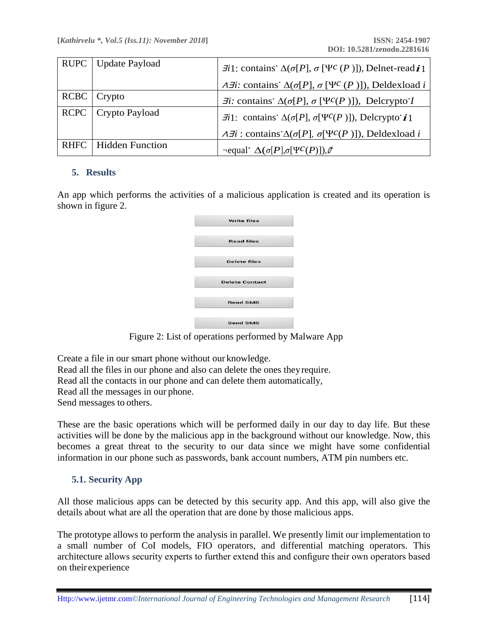| RUPC   Update Payload  | $\exists i$ 1: contains $\Delta(\sigma[P], \sigma[\Psi^c(P)])$ , Delnet-readi1               |
|------------------------|----------------------------------------------------------------------------------------------|
|                        | $\overline{A}$ : contains $\Delta(\sigma[P], \sigma[\Psi^c(P)])$ , Deldexload i              |
| $RCBC$ $Crypto$        | $\exists i$ : contains $\Delta(\sigma[P], \sigma[\Psi^c(P)])$ , Delcrypto I                  |
| RCPC   Crypto Payload  | $\exists i$ 1: contains $\Delta(\sigma[P], \sigma[\Psi^c(P)])$ , Delcrypto $\mathbf{i}$ 1    |
|                        | $\overline{A} \overline{A}$ : contains $\Delta(\sigma[P], \sigma[\Psi^c(P)])$ , Deldexload i |
| RHFC   Hidden Function | $\neg$ equal $\Delta(\sigma[P], \sigma[\Psi^c(P)]), \emptyset$                               |

### **5. Results**

An app which performs the activities of a malicious application is created and its operation is shown in figure 2.

| <b>Write files</b>    |  |
|-----------------------|--|
| <b>Read files</b>     |  |
| <b>Delete files</b>   |  |
| <b>Delete Contact</b> |  |
| <b>Read SMS</b>       |  |
| <b>Send SMS</b>       |  |

Figure 2: List of operations performed by Malware App

Create a file in our smart phone without our knowledge. Read all the files in our phone and also can delete the ones theyrequire. Read all the contacts in our phone and can delete them automatically, Read all the messages in our phone. Send messages to others.

These are the basic operations which will be performed daily in our day to day life. But these activities will be done by the malicious app in the background without our knowledge. Now, this becomes a great threat to the security to our data since we might have some confidential information in our phone such as passwords, bank account numbers, ATM pin numbers etc.

### **5.1. Security App**

All those malicious apps can be detected by this security app. And this app, will also give the details about what are all the operation that are done by those malicious apps.

The prototype allows to perform the analysis in parallel. We presently limit our implementation to a small number of CoI models, FIO operators, and differential matching operators. This architecture allows security experts to further extend this and configure their own operators based on their experience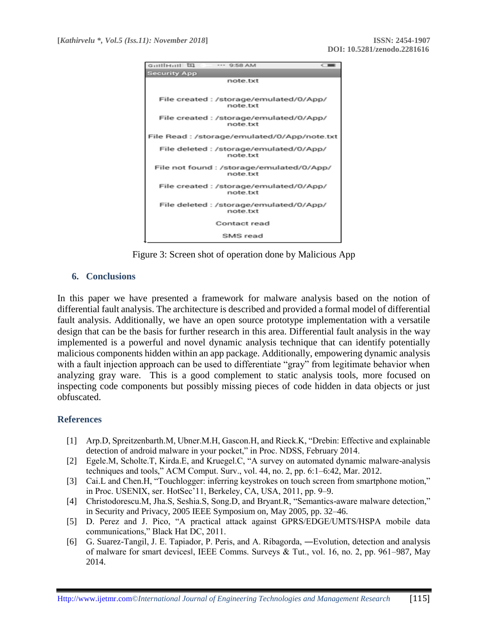

Figure 3: Screen shot of operation done by Malicious App

## **6. Conclusions**

In this paper we have presented a framework for malware analysis based on the notion of differential fault analysis. The architecture is described and provided a formal model of differential fault analysis. Additionally, we have an open source prototype implementation with a versatile design that can be the basis for further research in this area. Differential fault analysis in the way implemented is a powerful and novel dynamic analysis technique that can identify potentially malicious components hidden within an app package. Additionally, empowering dynamic analysis with a fault injection approach can be used to differentiate "gray" from legitimate behavior when analyzing gray ware. This is a good complement to static analysis tools, more focused on inspecting code components but possibly missing pieces of code hidden in data objects or just obfuscated.

### **References**

- [1] Arp.D, Spreitzenbarth.M, Ubner.M.H, Gascon.H, and Rieck.K, "Drebin: Effective and explainable detection of android malware in your pocket," in Proc. NDSS, February 2014.
- [2] Egele.M, Scholte.T, Kirda.E, and Kruegel.C, "A survey on automated dynamic malware-analysis techniques and tools," ACM Comput. Surv., vol. 44, no. 2, pp. 6:1–6:42, Mar. 2012.
- [3] Cai.L and Chen.H, "Touchlogger: inferring keystrokes on touch screen from smartphone motion," in Proc. USENIX, ser. HotSec'11, Berkeley, CA, USA, 2011, pp. 9–9.
- [4] Christodorescu.M, Jha.S, Seshia.S, Song.D, and Bryant.R, "Semantics-aware malware detection," in Security and Privacy, 2005 IEEE Symposium on, May 2005, pp. 32–46.
- [5] D. Perez and J. Pico, "A practical attack against GPRS/EDGE/UMTS/HSPA mobile data communications," Black Hat DC, 2011.
- [6] G. Suarez-Tangil, J. E. Tapiador, P. Peris, and A. Ribagorda, ―Evolution, detection and analysis of malware for smart devices‖, IEEE Comms. Surveys & Tut., vol. 16, no. 2, pp. 961–987, May 2014.